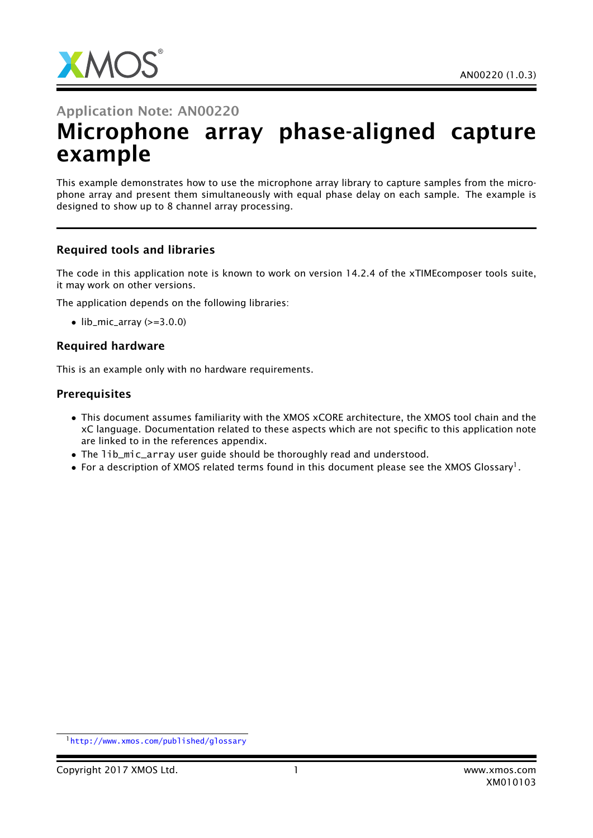

# Application Note: AN00220 Microphone array phase-aligned capture example

This example demonstrates how to use the microphone array library to capture samples from the microphone array and present them simultaneously with equal phase delay on each sample. The example is designed to show up to 8 channel array processing.

### Required tools and libraries

The code in this application note is known to work on version 14.2.4 of the xTIMEcomposer tools suite, it may work on other versions.

The application depends on the following libraries:

 $\bullet$  lib\_mic\_array ( $>=$ 3.0.0)

### Required hardware

This is an example only with no hardware requirements.

### **Prerequisites**

- This document assumes familiarity with the XMOS xCORE architecture, the XMOS tool chain and the xC language. Documentation related to these aspects which are not specific to this application note are linked to in the references appendix.
- The lib\_mic\_array user quide should be thoroughly read and understood.
- $\bullet\,$  For a description of XMOS related terms found in this document please see the XMOS Glossary $^{\rm l}$  .

<sup>1</sup><http://www.xmos.com/published/glossary>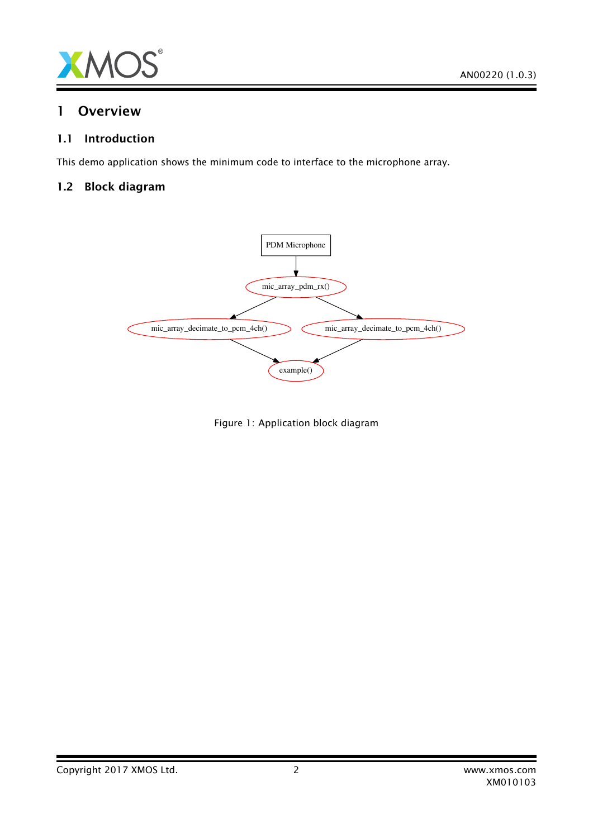

#### $\mathbf{1}$ **Overview**

#### $1.1$ Introduction

This demo application shows the minimum code to interface to the microphone array.

#### **Block diagram**  $1.2$



Figure 1: Application block diagram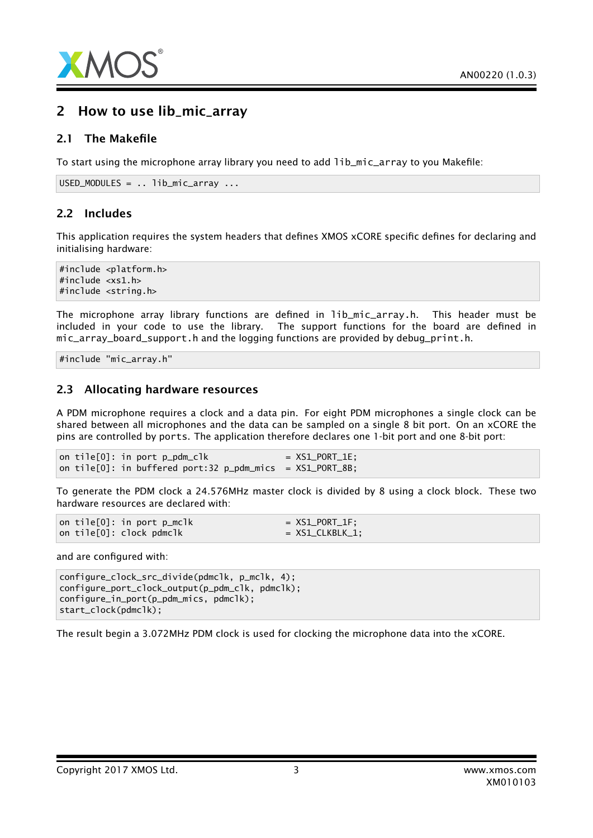

### 2 How to use lib\_mic\_array

### 2.1 The Makefile

To start using the microphone array library you need to add lib\_mic\_array to you Makefile:

```
USED_MODULES = . . 1ib\_mic\_array ...
```
### 2.2 Includes

This application requires the system headers that defines XMOS xCORE specific defines for declaring and initialising hardware:

#include <platform.h> #include <xs1.h> #include <string.h>

The microphone array library functions are defined in lib\_mic\_array.h. This header must be included in your code to use the library. The support functions for the board are defined in mic\_array\_board\_support.h and the logging functions are provided by debug\_print.h.

#include "mic\_array.h"

### 2.3 Allocating hardware resources

A PDM microphone requires a clock and a data pin. For eight PDM microphones a single clock can be shared between all microphones and the data can be sampled on a single 8 bit port. On an xCORE the pins are controlled by ports. The application therefore declares one 1-bit port and one 8-bit port:

on tile $[0]$ : in port  $p\_pdm\_c$ lk = XS1\_PORT\_1E; on tile $[0]$ : in buffered port:32 p\_pdm\_mics =  $XSL_PORT_8B$ ;

To generate the PDM clock a 24.576MHz master clock is divided by 8 using a clock block. These two hardware resources are declared with:

|  | on tile[0]: in port p_mclk | $= XSL_PORT_I$   |
|--|----------------------------|------------------|
|  | on tile[0]: clock pdmclk   | $= XS1_CLKBLK_1$ |

and are configured with:

configure\_clock\_src\_divide(pdmclk, p\_mclk, 4); configure\_port\_clock\_output(p\_pdm\_clk, pdmclk); configure\_in\_port(p\_pdm\_mics, pdmclk); start\_clock(pdmclk);

The result begin a 3.072MHz PDM clock is used for clocking the microphone data into the xCORE.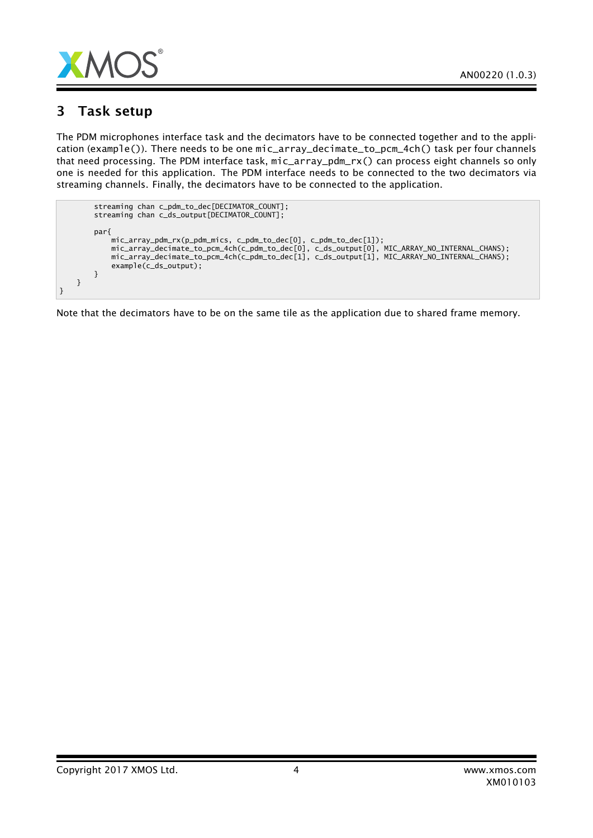

### 3 Task setup

The PDM microphones interface task and the decimators have to be connected together and to the application (example()). There needs to be one mic\_array\_decimate\_to\_pcm\_4ch() task per four channels that need processing. The PDM interface task, mic\_array\_pdm\_rx() can process eight channels so only one is needed for this application. The PDM interface needs to be connected to the two decimators via streaming channels. Finally, the decimators have to be connected to the application.

| streaming chan c_pdm_to_dec[DECIMATOR_COUNT];<br>streaming chan c_ds_output[DECIMATOR_COUNT];                                                                                                                                                                                                      |
|----------------------------------------------------------------------------------------------------------------------------------------------------------------------------------------------------------------------------------------------------------------------------------------------------|
| par{<br>mic_array_pdm_rx(p_pdm_mics, c_pdm_to_dec[0], c_pdm_to_dec[1]);<br>mic_array_decimate_to_pcm_4ch(c_pdm_to_dec[0], c_ds_output[0], MIC_ARRAY_NO_INTERNAL_CHANS);<br>mic_array_decimate_to_pcm_4ch(c_pdm_to_dec[1], c_ds_output[1], MIC_ARRAY_NO_INTERNAL_CHANS);<br>$example(c_ds_output);$ |
|                                                                                                                                                                                                                                                                                                    |

Note that the decimators have to be on the same tile as the application due to shared frame memory.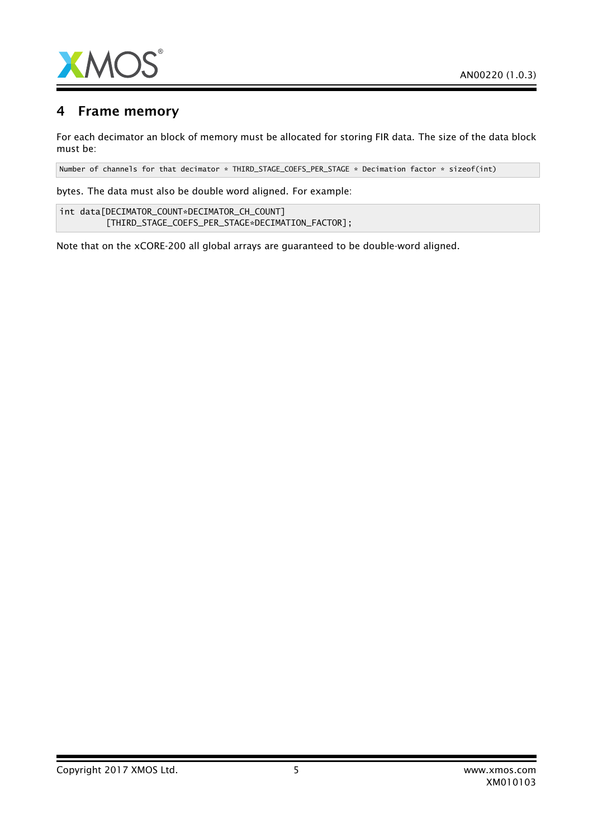

## 4 Frame memory

For each decimator an block of memory must be allocated for storing FIR data. The size of the data block must be:

Number of channels for that decimator \* THIRD\_STAGE\_COEFS\_PER\_STAGE \* Decimation factor \* sizeof(int)

bytes. The data must also be double word aligned. For example:

int data[DECIMATOR\_COUNT\*DECIMATOR\_CH\_COUNT] [THIRD\_STAGE\_COEFS\_PER\_STAGE\*DECIMATION\_FACTOR];

Note that on the xCORE-200 all global arrays are guaranteed to be double-word aligned.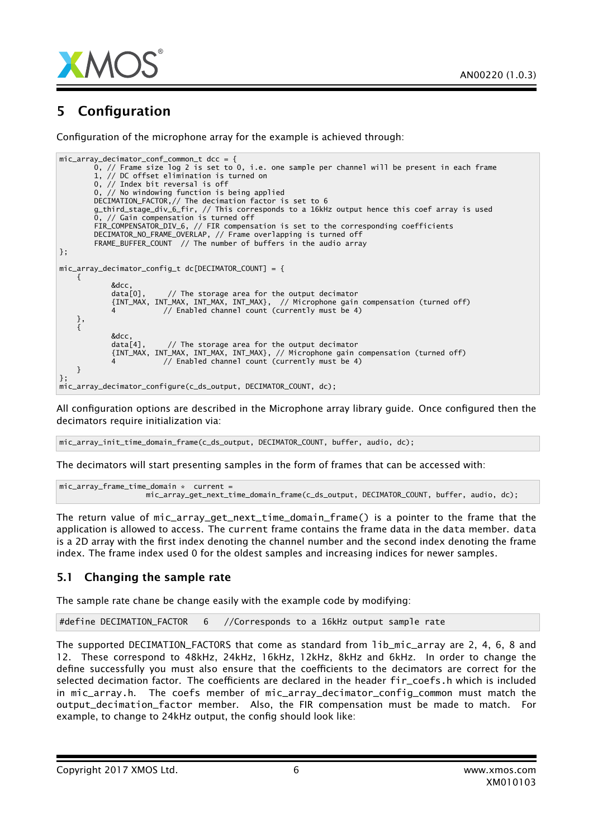

## 5 Configuration

Configuration of the microphone array for the example is achieved through:

```
mic_array_decimator_conf_common_t dcc = {
        0, // Frame size log 2 is set to 0, i.e. one sample per channel will be present in each frame
        1, // DC offset elimination is turned on
       0, // Index bit reversal is off
        0, // No windowing function is being applied
        DECIMATION_FACTOR,// The decimation factor is set to 6
       g_third_stage_div_6_fir, // This corresponds to a 16kHz output hence this coef array is used
        0, // Gain compensation is turned off
        FIR_COMPENSATOR_DIV_6, // FIR compensation is set to the corresponding coefficients
        DECIMATOR_NO_FRAME_OVERLAP, // Frame overlapping is turned off
        FRAME_BUFFER_COUNT // The number of buffers in the audio array
};
mic array decimator config t dc[DECIMATOR COUNT] = {
    {
            &dcc,<br>data[0],
                         1/ The storage area for the output decimator
            {INT_MAX, INT_MAX, INT_MAX, INT_MAX}, // Microphone gain compensation (turned off)
            4 // Enabled channel count (currently must be 4)
    },
    {
            &dcc,
            data[4], // The storage area for the output decimator
            {INT_MAX, INT_MAX, INT_MAX, INT_MAX}, // Microphone gain compensation (turned off)
            4 // Enabled channel count (currently must be 4)
   }
};
mic_array_decimator_configure(c_ds_output, DECIMATOR_COUNT, dc);
```
All configuration options are described in the Microphone array library guide. Once configured then the decimators require initialization via:

mic\_array\_init\_time\_domain\_frame(c\_ds\_output, DECIMATOR\_COUNT, buffer, audio, dc);

The decimators will start presenting samples in the form of frames that can be accessed with:

```
mic_array_frame_time_domain * current =
                   mic_array_get_next_time_domain_frame(c_ds_output, DECIMATOR_COUNT, buffer, audio, dc);
```
The return value of mic\_array\_get\_next\_time\_domain\_frame() is a pointer to the frame that the application is allowed to access. The current frame contains the frame data in the data member. data is a 2D array with the first index denoting the channel number and the second index denoting the frame index. The frame index used 0 for the oldest samples and increasing indices for newer samples.

### 5.1 Changing the sample rate

The sample rate chane be change easily with the example code by modifying:

#define DECIMATION\_FACTOR 6 //Corresponds to a 16kHz output sample rate

The supported DECIMATION\_FACTORS that come as standard from lib\_mic\_array are 2, 4, 6, 8 and 12. These correspond to 48kHz, 24kHz, 16kHz, 12kHz, 8kHz and 6kHz. In order to change the define successfully you must also ensure that the coefficients to the decimators are correct for the selected decimation factor. The coefficients are declared in the header fir\_coefs.h which is included in mic\_array.h. The coefs member of mic\_array\_decimator\_config\_common must match the output\_decimation\_factor member. Also, the FIR compensation must be made to match. For example, to change to 24kHz output, the config should look like: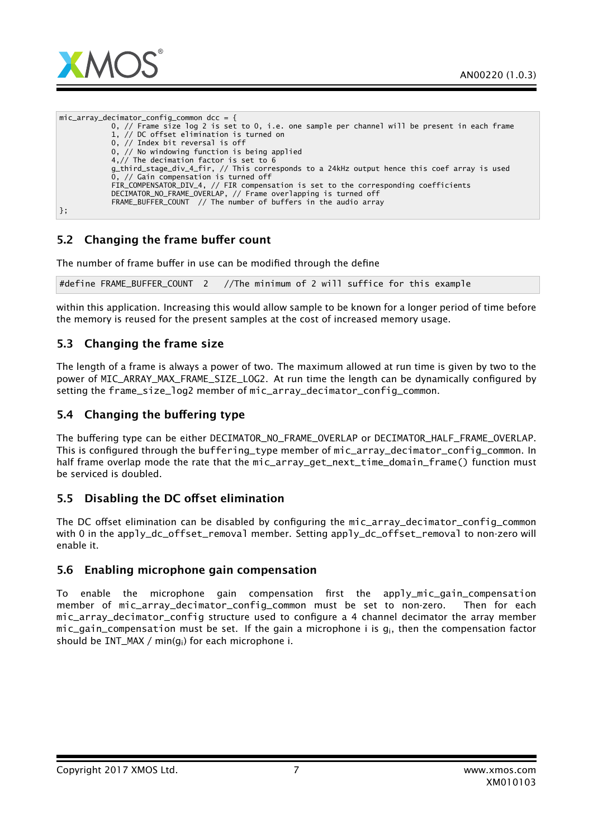

mic array decimator config common dcc =  ${f}$ 0, // Frame size log 2 is set to 0, i.e. one sample per channel will be present in each frame 1, // DC offset elimination is turned on 0, // Index bit reversal is off 0, // No windowing function is being applied 4,// The decimation factor is set to 6 g\_third\_stage\_div\_4\_fir, // This corresponds to a 24kHz output hence this coef array is used 0, // Gain compensation is turned off FIR\_COMPENSATOR\_DIV\_4, // FIR compensation is set to the corresponding coefficients DECIMATOR\_NO\_FRAME\_OVERLAP, // Frame overlapping is turned off FRAME\_BUFFER\_COUNT // The number of buffers in the audio array };

### 5.2 Changing the frame buffer count

The number of frame buffer in use can be modified through the define

#define FRAME\_BUFFER\_COUNT 2 //The minimum of 2 will suffice for this example

within this application. Increasing this would allow sample to be known for a longer period of time before the memory is reused for the present samples at the cost of increased memory usage.

### 5.3 Changing the frame size

The length of a frame is always a power of two. The maximum allowed at run time is given by two to the power of MIC\_ARRAY\_MAX\_FRAME\_SIZE\_LOG2. At run time the length can be dynamically configured by setting the frame\_size\_log2 member of mic\_array\_decimator\_config\_common.

### 5.4 Changing the buffering type

The buffering type can be either DECIMATOR\_NO\_FRAME\_OVERLAP or DECIMATOR\_HALF\_FRAME\_OVERLAP. This is configured through the buffering\_type member of mic\_array\_decimator\_config\_common. In half frame overlap mode the rate that the mic\_array\_get\_next\_time\_domain\_frame() function must be serviced is doubled.

### 5.5 Disabling the DC offset elimination

The DC offset elimination can be disabled by configuring the mic\_array\_decimator\_config\_common with 0 in the apply\_dc\_offset\_removal member. Setting apply\_dc\_offset\_removal to non-zero will enable it.

### 5.6 Enabling microphone gain compensation

To enable the microphone gain compensation first the apply\_mic\_gain\_compensation member of mic\_array\_decimator\_config\_common must be set to non-zero. Then for each mic\_array\_decimator\_config structure used to configure a 4 channel decimator the array member mic gain compensation must be set. If the gain a microphone i is  $q_i$ , then the compensation factor should be INT\_MAX / min(gi) for each microphone i.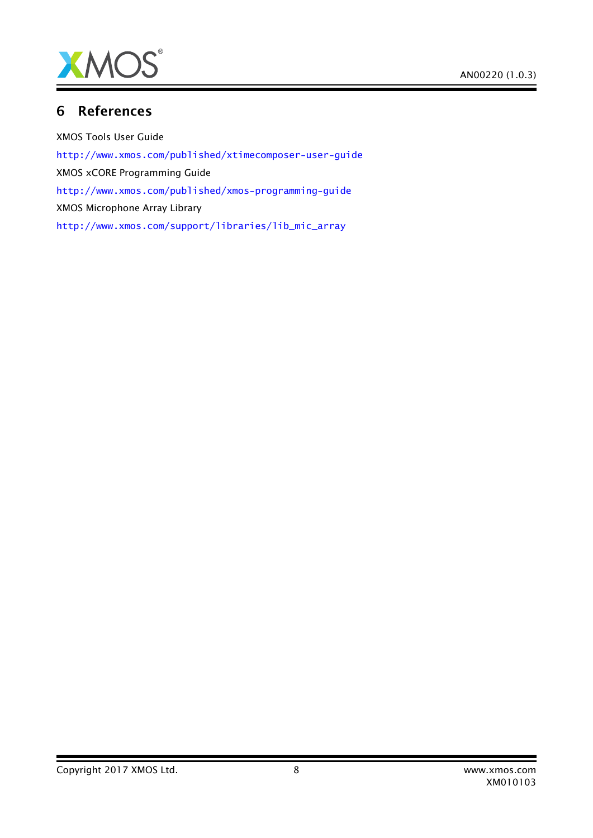

## 6 References

XMOS Tools User Guide <http://www.xmos.com/published/xtimecomposer-user-guide> XMOS xCORE Programming Guide <http://www.xmos.com/published/xmos-programming-guide> XMOS Microphone Array Library [http://www.xmos.com/support/libraries/lib\\_mic\\_array](http://www.xmos.com/support/libraries/lib_mic_array)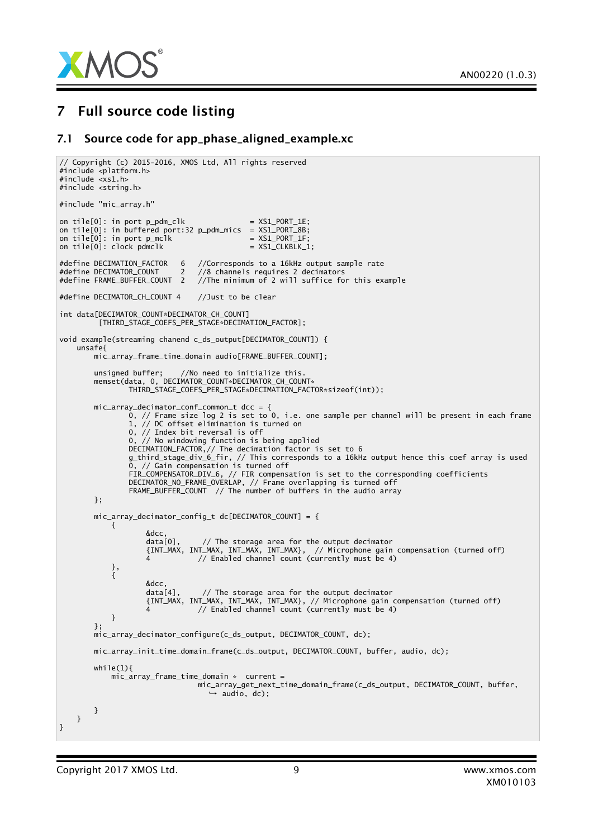

## 7 Full source code listing

#### 7.1 Source code for app\_phase\_aligned\_example.xc

```
// Copyright (c) 2015-2016, XMOS Ltd, All rights reserved
#include <platform.h>
#include <xs1.h>
#include <string.h>
#include "mic_array.h"
on tile[0]: in port p\_pdm\_clk = XS1_PORT_1E;
on tile[0]: in buffered port:32 p_pdm_mics = XS1_PORT_8B;
on tile[0]: in port p_mclk = XSL-PORT_1F;on tile[0]: clock pdmclk = XSL_CLKBLK_1;#define DECIMATION_FACTOR 6 //Corresponds to a 16kHz output sample rate
#define DECIMATOR_COUNT 2 //8 channels requires 2 decimators
                               //The minimum of 2 will suffice for this example
#define DECIMATOR_CH_COUNT 4 //Just to be clear
int data[DECIMATOR_COUNT*DECIMATOR_CH_COUNT]
         [THIRD_STAGE_COEFS_PER_STAGE*DECIMATION_FACTOR];
void example(streaming chanend c_ds_output[DECIMATOR_COUNT]) {
   unsafe{
       mic_array_frame_time_domain audio[FRAME_BUFFER_COUNT];
        unsigned buffer; //No need to initialize this.
        memset(data, 0, DECIMATOR_COUNT*DECIMATOR_CH_COUNT*
                THIRD_STAGE_COEFS_PER_STAGE*DECIMATION_FACTOR*sizeof(int));
       mic_array_decimator_conf_common_t dcc = {
                0, // Frame size log 2 is set to 0, i.e. one sample per channel will be present in each frame
                1, // DC offset elimination is turned on
                0, // Index bit reversal is off
                0, // No windowing function is being applied
               DECIMATION_FACTOR,// The decimation factor is set to 6
                g_third_stage_div_6_fir, // This corresponds to a 16kHz output hence this coef array is used
                0, // Gain compensation is turned off
                FIR_COMPENSATOR_DIV_6, // FIR compensation is set to the corresponding coefficients
                DECIMATOR_NO_FRAME_OVERLAP, // Frame overlapping is turned off
               FRAME_BUFFER_COUNT // The number of buffers in the audio array
       };
       mic_array_decimator_config_t dc[DECIMATOR_COUNT] = {
           {
                   &dcc,<br>data[0],
                                1/ The storage area for the output decimator
                   {INT_MAX, INT_MAX, INT_MAX, INT_MAX}, // Microphone gain compensation (turned off)
                   4 // Enabled channel count (currently must be 4)
           },
           {
                   &dcc,<br>data[4],
                                1/ The storage area for the output decimator
                   {INT_MAX, INT_MAX, INT_MAX, INT_MAX}, // Microphone gain compensation (turned off)
                   4 // Enabled channel count (currently must be 4)
           }
        };
       mic_array_decimator_configure(c_ds_output, DECIMATOR_COUNT, dc);
       mic_array_init_time_domain_frame(c_ds_output, DECIMATOR_COUNT, buffer, audio, dc);
       while(1)mic_array_frame_time_domain * current =
                               mic_array_get_next_time_domain_frame(c_ds_output, DECIMATOR_COUNT, buffer,
                                  → audio, dc);
       }
   }
}
```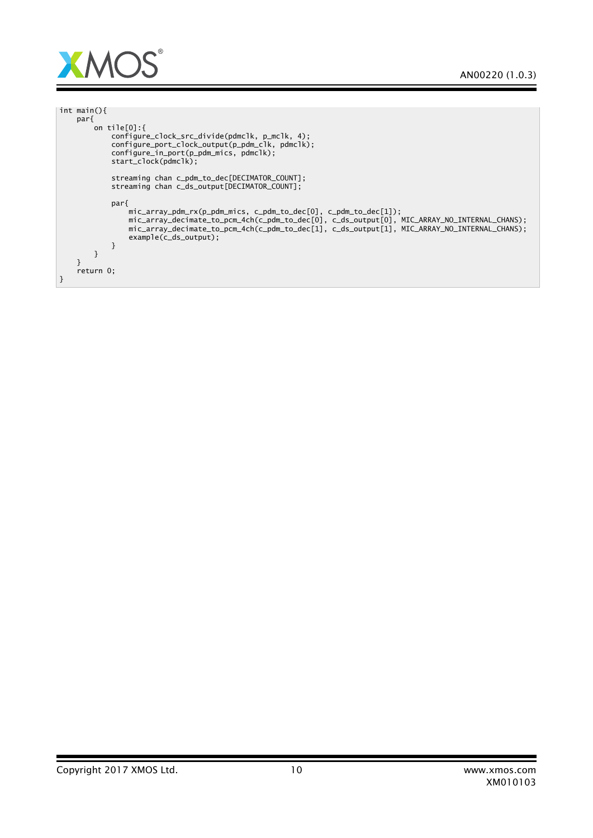

| int main(){                                                                                                                                                                                                                                                                                            |  |  |
|--------------------------------------------------------------------------------------------------------------------------------------------------------------------------------------------------------------------------------------------------------------------------------------------------------|--|--|
| par <sub>1</sub>                                                                                                                                                                                                                                                                                       |  |  |
| on tile $[0]$ :{                                                                                                                                                                                                                                                                                       |  |  |
| configure_clock_src_divide(pdmclk, p_mclk, 4);<br>configure_port_clock_output(p_pdm_clk, pdmclk);<br>configure_in_port(p_pdm_mics, pdmclk);<br>start_clock(pdmclk);                                                                                                                                    |  |  |
| streaming chan c_pdm_to_dec[DECIMATOR_COUNT];<br>streaming chan c_ds_output[DECIMATOR_COUNT];                                                                                                                                                                                                          |  |  |
| parf<br>$mic_array\_pdm_rrx(p_pdm_mics, c_pdm_to_dec[0], c_pdm_to_dec[1]);$<br>mic_array_decimate_to_pcm_4ch(c_pdm_to_dec[0], c_ds_output[0], MIC_ARRAY_NO_INTERNAL_CHANS);<br>mic_array_decimate_to_pcm_4ch(c_pdm_to_dec[1], c_ds_output[1], MIC_ARRAY_NO_INTERNAL_CHANS);<br>$example(c_ds_output);$ |  |  |
|                                                                                                                                                                                                                                                                                                        |  |  |
|                                                                                                                                                                                                                                                                                                        |  |  |
|                                                                                                                                                                                                                                                                                                        |  |  |
| return 0;                                                                                                                                                                                                                                                                                              |  |  |
| }                                                                                                                                                                                                                                                                                                      |  |  |